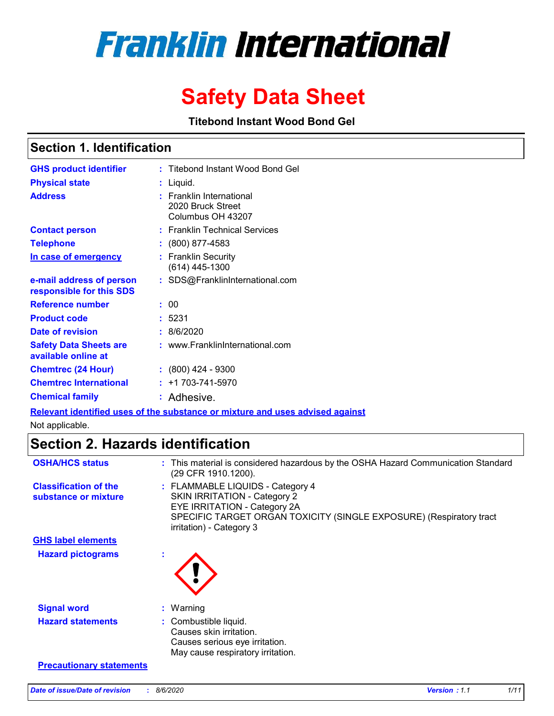# **Franklin International**

# **Safety Data Sheet**

**Titebond Instant Wood Bond Gel** 

### **Section 1. Identification**

| <b>GHS product identifier</b>                        | : Titebond Instant Wood Bond Gel                                   |
|------------------------------------------------------|--------------------------------------------------------------------|
| <b>Physical state</b>                                | : Liquid.                                                          |
| <b>Address</b>                                       | : Franklin International<br>2020 Bruck Street<br>Columbus OH 43207 |
| <b>Contact person</b>                                | : Franklin Technical Services                                      |
| <b>Telephone</b>                                     | $\colon$ (800) 877-4583                                            |
| In case of emergency                                 | : Franklin Security<br>$(614)$ 445-1300                            |
| e-mail address of person<br>responsible for this SDS | : SDS@FranklinInternational.com                                    |
| <b>Reference number</b>                              | : 00                                                               |
| <b>Product code</b>                                  | :5231                                                              |
| Date of revision                                     | : 8/6/2020                                                         |
| <b>Safety Data Sheets are</b><br>available online at | : www.FranklinInternational.com                                    |
| <b>Chemtrec (24 Hour)</b>                            | $: (800)$ 424 - 9300                                               |
| <b>Chemtrec International</b>                        | $: +1703 - 741 - 5970$                                             |
| <b>Chemical family</b>                               | : Adhesive.                                                        |

**Relevant identified uses of the substance or mixture and uses advised against**

Not applicable.

# **Section 2. Hazards identification**

| <b>OSHA/HCS status</b>                               | : This material is considered hazardous by the OSHA Hazard Communication Standard<br>(29 CFR 1910.1200).                                                                                                   |
|------------------------------------------------------|------------------------------------------------------------------------------------------------------------------------------------------------------------------------------------------------------------|
| <b>Classification of the</b><br>substance or mixture | : FLAMMABLE LIQUIDS - Category 4<br><b>SKIN IRRITATION - Category 2</b><br>EYE IRRITATION - Category 2A<br>SPECIFIC TARGET ORGAN TOXICITY (SINGLE EXPOSURE) (Respiratory tract<br>irritation) - Category 3 |
| <b>GHS label elements</b>                            |                                                                                                                                                                                                            |
| <b>Hazard pictograms</b>                             |                                                                                                                                                                                                            |
| <b>Signal word</b>                                   | $:$ Warning                                                                                                                                                                                                |
| <b>Hazard statements</b>                             | : Combustible liquid.<br>Causes skin irritation.<br>Causes serious eye irritation.<br>May cause respiratory irritation.                                                                                    |
| <b>Precautionary statements</b>                      |                                                                                                                                                                                                            |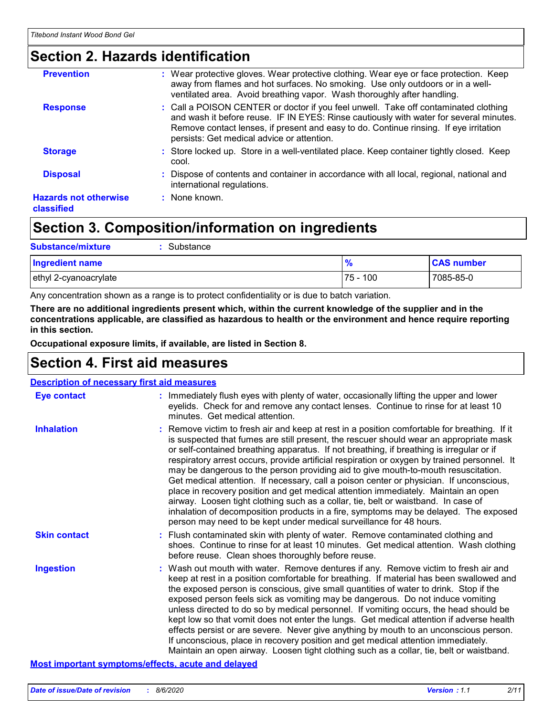# **Section 2. Hazards identification**

| <b>Prevention</b><br>: Wear protective gloves. Wear protective clothing. Wear eye or face protection. Keep<br>away from flames and hot surfaces. No smoking. Use only outdoors or in a well-<br>ventilated area. Avoid breathing vapor. Wash thoroughly after handling.<br>: Call a POISON CENTER or doctor if you feel unwell. Take off contaminated clothing<br><b>Response</b><br>and wash it before reuse. IF IN EYES: Rinse cautiously with water for several minutes.<br>Remove contact lenses, if present and easy to do. Continue rinsing. If eye irritation<br>persists: Get medical advice or attention.<br>: Store locked up. Store in a well-ventilated place. Keep container tightly closed. Keep<br><b>Storage</b><br>cool.<br>Dispose of contents and container in accordance with all local, regional, national and<br><b>Disposal</b><br>international regulations.<br><b>Hazards not otherwise</b><br>: None known.<br>classified |  |
|-----------------------------------------------------------------------------------------------------------------------------------------------------------------------------------------------------------------------------------------------------------------------------------------------------------------------------------------------------------------------------------------------------------------------------------------------------------------------------------------------------------------------------------------------------------------------------------------------------------------------------------------------------------------------------------------------------------------------------------------------------------------------------------------------------------------------------------------------------------------------------------------------------------------------------------------------------|--|
|                                                                                                                                                                                                                                                                                                                                                                                                                                                                                                                                                                                                                                                                                                                                                                                                                                                                                                                                                     |  |
|                                                                                                                                                                                                                                                                                                                                                                                                                                                                                                                                                                                                                                                                                                                                                                                                                                                                                                                                                     |  |
|                                                                                                                                                                                                                                                                                                                                                                                                                                                                                                                                                                                                                                                                                                                                                                                                                                                                                                                                                     |  |
|                                                                                                                                                                                                                                                                                                                                                                                                                                                                                                                                                                                                                                                                                                                                                                                                                                                                                                                                                     |  |
|                                                                                                                                                                                                                                                                                                                                                                                                                                                                                                                                                                                                                                                                                                                                                                                                                                                                                                                                                     |  |

# **Section 3. Composition/information on ingredients**

| <b>Substance/mixture</b><br>: Substance |            |                   |
|-----------------------------------------|------------|-------------------|
| <b>Ingredient name</b>                  |            | <b>CAS number</b> |
| ethyl 2-cyanoacrylate                   | l 75 - 100 | 7085-85-0         |

Any concentration shown as a range is to protect confidentiality or is due to batch variation.

**There are no additional ingredients present which, within the current knowledge of the supplier and in the concentrations applicable, are classified as hazardous to health or the environment and hence require reporting in this section.**

**Occupational exposure limits, if available, are listed in Section 8.**

# **Section 4. First aid measures**

| <b>Description of necessary first aid measures</b> |                                                                                                                                                                                                                                                                                                                                                                                                                                                                                                                                                                                                                                                                                                                                                                                                                                                                                                                |  |  |
|----------------------------------------------------|----------------------------------------------------------------------------------------------------------------------------------------------------------------------------------------------------------------------------------------------------------------------------------------------------------------------------------------------------------------------------------------------------------------------------------------------------------------------------------------------------------------------------------------------------------------------------------------------------------------------------------------------------------------------------------------------------------------------------------------------------------------------------------------------------------------------------------------------------------------------------------------------------------------|--|--|
| <b>Eye contact</b>                                 | : Immediately flush eyes with plenty of water, occasionally lifting the upper and lower<br>eyelids. Check for and remove any contact lenses. Continue to rinse for at least 10<br>minutes. Get medical attention.                                                                                                                                                                                                                                                                                                                                                                                                                                                                                                                                                                                                                                                                                              |  |  |
| <b>Inhalation</b>                                  | : Remove victim to fresh air and keep at rest in a position comfortable for breathing. If it<br>is suspected that fumes are still present, the rescuer should wear an appropriate mask<br>or self-contained breathing apparatus. If not breathing, if breathing is irregular or if<br>respiratory arrest occurs, provide artificial respiration or oxygen by trained personnel. It<br>may be dangerous to the person providing aid to give mouth-to-mouth resuscitation.<br>Get medical attention. If necessary, call a poison center or physician. If unconscious,<br>place in recovery position and get medical attention immediately. Maintain an open<br>airway. Loosen tight clothing such as a collar, tie, belt or waistband. In case of<br>inhalation of decomposition products in a fire, symptoms may be delayed. The exposed<br>person may need to be kept under medical surveillance for 48 hours. |  |  |
| <b>Skin contact</b>                                | : Flush contaminated skin with plenty of water. Remove contaminated clothing and<br>shoes. Continue to rinse for at least 10 minutes. Get medical attention. Wash clothing<br>before reuse. Clean shoes thoroughly before reuse.                                                                                                                                                                                                                                                                                                                                                                                                                                                                                                                                                                                                                                                                               |  |  |
| <b>Ingestion</b>                                   | : Wash out mouth with water. Remove dentures if any. Remove victim to fresh air and<br>keep at rest in a position comfortable for breathing. If material has been swallowed and<br>the exposed person is conscious, give small quantities of water to drink. Stop if the<br>exposed person feels sick as vomiting may be dangerous. Do not induce vomiting<br>unless directed to do so by medical personnel. If vomiting occurs, the head should be<br>kept low so that vomit does not enter the lungs. Get medical attention if adverse health<br>effects persist or are severe. Never give anything by mouth to an unconscious person.<br>If unconscious, place in recovery position and get medical attention immediately.<br>Maintain an open airway. Loosen tight clothing such as a collar, tie, belt or waistband.                                                                                      |  |  |

#### **Most important symptoms/effects, acute and delayed**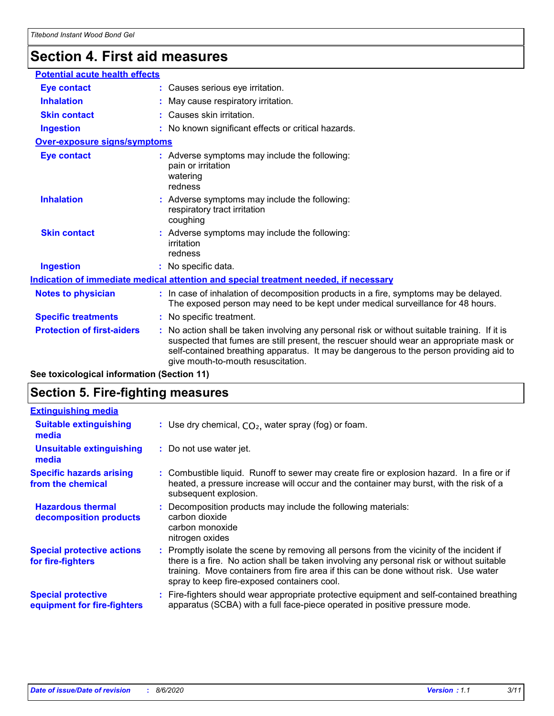# **Section 4. First aid measures**

| <b>Potential acute health effects</b> |                                                                                                                                                                                                                                                                                                                         |                                                                                                                                                                          |  |  |
|---------------------------------------|-------------------------------------------------------------------------------------------------------------------------------------------------------------------------------------------------------------------------------------------------------------------------------------------------------------------------|--------------------------------------------------------------------------------------------------------------------------------------------------------------------------|--|--|
|                                       |                                                                                                                                                                                                                                                                                                                         |                                                                                                                                                                          |  |  |
| <b>Eye contact</b>                    |                                                                                                                                                                                                                                                                                                                         | : Causes serious eye irritation.                                                                                                                                         |  |  |
| <b>Inhalation</b>                     |                                                                                                                                                                                                                                                                                                                         | : May cause respiratory irritation.                                                                                                                                      |  |  |
| <b>Skin contact</b>                   |                                                                                                                                                                                                                                                                                                                         | : Causes skin irritation.                                                                                                                                                |  |  |
| <b>Ingestion</b>                      |                                                                                                                                                                                                                                                                                                                         | : No known significant effects or critical hazards.                                                                                                                      |  |  |
| Over-exposure signs/symptoms          |                                                                                                                                                                                                                                                                                                                         |                                                                                                                                                                          |  |  |
| <b>Eye contact</b>                    | : Adverse symptoms may include the following:<br>pain or irritation<br>watering<br>redness                                                                                                                                                                                                                              |                                                                                                                                                                          |  |  |
| <b>Inhalation</b>                     |                                                                                                                                                                                                                                                                                                                         | : Adverse symptoms may include the following:<br>respiratory tract irritation<br>coughing                                                                                |  |  |
| <b>Skin contact</b>                   | : Adverse symptoms may include the following:<br>irritation<br>redness                                                                                                                                                                                                                                                  |                                                                                                                                                                          |  |  |
| <b>Ingestion</b>                      | : No specific data.                                                                                                                                                                                                                                                                                                     |                                                                                                                                                                          |  |  |
|                                       |                                                                                                                                                                                                                                                                                                                         | <u>Indication of immediate medical attention and special treatment needed, if necessary</u>                                                                              |  |  |
| <b>Notes to physician</b>             |                                                                                                                                                                                                                                                                                                                         | : In case of inhalation of decomposition products in a fire, symptoms may be delayed.<br>The exposed person may need to be kept under medical surveillance for 48 hours. |  |  |
| <b>Specific treatments</b>            |                                                                                                                                                                                                                                                                                                                         | : No specific treatment.                                                                                                                                                 |  |  |
| <b>Protection of first-aiders</b>     | : No action shall be taken involving any personal risk or without suitable training. If it is<br>suspected that fumes are still present, the rescuer should wear an appropriate mask or<br>self-contained breathing apparatus. It may be dangerous to the person providing aid to<br>give mouth-to-mouth resuscitation. |                                                                                                                                                                          |  |  |
|                                       |                                                                                                                                                                                                                                                                                                                         |                                                                                                                                                                          |  |  |

**See toxicological information (Section 11)**

## **Section 5. Fire-fighting measures**

| <b>Extinguishing media</b>                               |                                                                                                                                                                                                                                                                                                                               |
|----------------------------------------------------------|-------------------------------------------------------------------------------------------------------------------------------------------------------------------------------------------------------------------------------------------------------------------------------------------------------------------------------|
| <b>Suitable extinguishing</b><br>media                   | : Use dry chemical, $CO2$ , water spray (fog) or foam.                                                                                                                                                                                                                                                                        |
| <b>Unsuitable extinguishing</b><br>media                 | : Do not use water jet.                                                                                                                                                                                                                                                                                                       |
| <b>Specific hazards arising</b><br>from the chemical     | : Combustible liquid. Runoff to sewer may create fire or explosion hazard. In a fire or if<br>heated, a pressure increase will occur and the container may burst, with the risk of a<br>subsequent explosion.                                                                                                                 |
| <b>Hazardous thermal</b><br>decomposition products       | Decomposition products may include the following materials:<br>carbon dioxide<br>carbon monoxide<br>nitrogen oxides                                                                                                                                                                                                           |
| <b>Special protective actions</b><br>for fire-fighters   | : Promptly isolate the scene by removing all persons from the vicinity of the incident if<br>there is a fire. No action shall be taken involving any personal risk or without suitable<br>training. Move containers from fire area if this can be done without risk. Use water<br>spray to keep fire-exposed containers cool. |
| <b>Special protective</b><br>equipment for fire-fighters | : Fire-fighters should wear appropriate protective equipment and self-contained breathing<br>apparatus (SCBA) with a full face-piece operated in positive pressure mode.                                                                                                                                                      |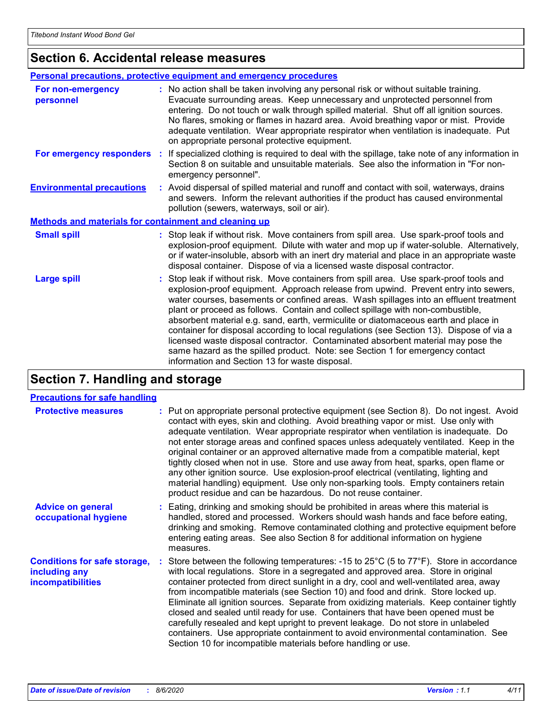# **Section 6. Accidental release measures**

| Personal precautions, protective equipment and emergency procedures |                                                                                                                                                                                                                                                                                                                                                                                                                                                                                                                                                                                                                                                                                                                                                                    |  |
|---------------------------------------------------------------------|--------------------------------------------------------------------------------------------------------------------------------------------------------------------------------------------------------------------------------------------------------------------------------------------------------------------------------------------------------------------------------------------------------------------------------------------------------------------------------------------------------------------------------------------------------------------------------------------------------------------------------------------------------------------------------------------------------------------------------------------------------------------|--|
| For non-emergency<br>personnel                                      | : No action shall be taken involving any personal risk or without suitable training.<br>Evacuate surrounding areas. Keep unnecessary and unprotected personnel from<br>entering. Do not touch or walk through spilled material. Shut off all ignition sources.<br>No flares, smoking or flames in hazard area. Avoid breathing vapor or mist. Provide<br>adequate ventilation. Wear appropriate respirator when ventilation is inadequate. Put<br>on appropriate personal protective equipment.                                                                                                                                                                                                                                                                    |  |
| For emergency responders :                                          | If specialized clothing is required to deal with the spillage, take note of any information in<br>Section 8 on suitable and unsuitable materials. See also the information in "For non-<br>emergency personnel".                                                                                                                                                                                                                                                                                                                                                                                                                                                                                                                                                   |  |
| <b>Environmental precautions</b>                                    | : Avoid dispersal of spilled material and runoff and contact with soil, waterways, drains<br>and sewers. Inform the relevant authorities if the product has caused environmental<br>pollution (sewers, waterways, soil or air).                                                                                                                                                                                                                                                                                                                                                                                                                                                                                                                                    |  |
| Methods and materials for containment and cleaning up               |                                                                                                                                                                                                                                                                                                                                                                                                                                                                                                                                                                                                                                                                                                                                                                    |  |
| <b>Small spill</b>                                                  | : Stop leak if without risk. Move containers from spill area. Use spark-proof tools and<br>explosion-proof equipment. Dilute with water and mop up if water-soluble. Alternatively,<br>or if water-insoluble, absorb with an inert dry material and place in an appropriate waste<br>disposal container. Dispose of via a licensed waste disposal contractor.                                                                                                                                                                                                                                                                                                                                                                                                      |  |
| <b>Large spill</b>                                                  | Stop leak if without risk. Move containers from spill area. Use spark-proof tools and<br>explosion-proof equipment. Approach release from upwind. Prevent entry into sewers,<br>water courses, basements or confined areas. Wash spillages into an effluent treatment<br>plant or proceed as follows. Contain and collect spillage with non-combustible,<br>absorbent material e.g. sand, earth, vermiculite or diatomaceous earth and place in<br>container for disposal according to local regulations (see Section 13). Dispose of via a<br>licensed waste disposal contractor. Contaminated absorbent material may pose the<br>same hazard as the spilled product. Note: see Section 1 for emergency contact<br>information and Section 13 for waste disposal. |  |

# **Section 7. Handling and storage**

#### **Precautions for safe handling**

| <b>Protective measures</b>                                                       | : Put on appropriate personal protective equipment (see Section 8). Do not ingest. Avoid<br>contact with eyes, skin and clothing. Avoid breathing vapor or mist. Use only with<br>adequate ventilation. Wear appropriate respirator when ventilation is inadequate. Do<br>not enter storage areas and confined spaces unless adequately ventilated. Keep in the<br>original container or an approved alternative made from a compatible material, kept<br>tightly closed when not in use. Store and use away from heat, sparks, open flame or<br>any other ignition source. Use explosion-proof electrical (ventilating, lighting and<br>material handling) equipment. Use only non-sparking tools. Empty containers retain<br>product residue and can be hazardous. Do not reuse container.                 |
|----------------------------------------------------------------------------------|--------------------------------------------------------------------------------------------------------------------------------------------------------------------------------------------------------------------------------------------------------------------------------------------------------------------------------------------------------------------------------------------------------------------------------------------------------------------------------------------------------------------------------------------------------------------------------------------------------------------------------------------------------------------------------------------------------------------------------------------------------------------------------------------------------------|
| <b>Advice on general</b><br>occupational hygiene                                 | : Eating, drinking and smoking should be prohibited in areas where this material is<br>handled, stored and processed. Workers should wash hands and face before eating,<br>drinking and smoking. Remove contaminated clothing and protective equipment before<br>entering eating areas. See also Section 8 for additional information on hygiene<br>measures.                                                                                                                                                                                                                                                                                                                                                                                                                                                |
| <b>Conditions for safe storage,</b><br>including any<br><i>incompatibilities</i> | : Store between the following temperatures: -15 to $25^{\circ}$ C (5 to $77^{\circ}$ F). Store in accordance<br>with local regulations. Store in a segregated and approved area. Store in original<br>container protected from direct sunlight in a dry, cool and well-ventilated area, away<br>from incompatible materials (see Section 10) and food and drink. Store locked up.<br>Eliminate all ignition sources. Separate from oxidizing materials. Keep container tightly<br>closed and sealed until ready for use. Containers that have been opened must be<br>carefully resealed and kept upright to prevent leakage. Do not store in unlabeled<br>containers. Use appropriate containment to avoid environmental contamination. See<br>Section 10 for incompatible materials before handling or use. |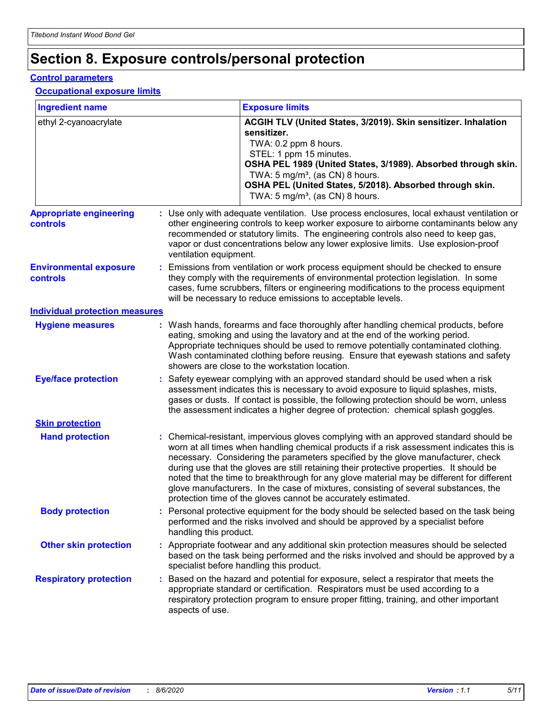# **Section 8. Exposure controls/personal protection**

#### **Control parameters**

#### **Occupational exposure limits**

| <b>Ingredient name</b>                     |  |                        | <b>Exposure limits</b>                                                                                                                                                                                                                                                                                                                                                                                                                                                                                                                                                                                                 |  |
|--------------------------------------------|--|------------------------|------------------------------------------------------------------------------------------------------------------------------------------------------------------------------------------------------------------------------------------------------------------------------------------------------------------------------------------------------------------------------------------------------------------------------------------------------------------------------------------------------------------------------------------------------------------------------------------------------------------------|--|
| ethyl 2-cyanoacrylate                      |  |                        | ACGIH TLV (United States, 3/2019). Skin sensitizer. Inhalation<br>sensitizer.<br>TWA: 0.2 ppm 8 hours.<br>STEL: 1 ppm 15 minutes.<br>OSHA PEL 1989 (United States, 3/1989). Absorbed through skin.<br>TWA: 5 mg/m <sup>3</sup> , (as CN) 8 hours.<br>OSHA PEL (United States, 5/2018). Absorbed through skin.<br>TWA: $5 \text{ mg/m}^3$ , (as CN) 8 hours.                                                                                                                                                                                                                                                            |  |
| <b>Appropriate engineering</b><br>controls |  | ventilation equipment. | : Use only with adequate ventilation. Use process enclosures, local exhaust ventilation or<br>other engineering controls to keep worker exposure to airborne contaminants below any<br>recommended or statutory limits. The engineering controls also need to keep gas,<br>vapor or dust concentrations below any lower explosive limits. Use explosion-proof                                                                                                                                                                                                                                                          |  |
| <b>Environmental exposure</b><br>controls  |  |                        | Emissions from ventilation or work process equipment should be checked to ensure<br>they comply with the requirements of environmental protection legislation. In some<br>cases, fume scrubbers, filters or engineering modifications to the process equipment<br>will be necessary to reduce emissions to acceptable levels.                                                                                                                                                                                                                                                                                          |  |
| <b>Individual protection measures</b>      |  |                        |                                                                                                                                                                                                                                                                                                                                                                                                                                                                                                                                                                                                                        |  |
| <b>Hygiene measures</b>                    |  |                        | : Wash hands, forearms and face thoroughly after handling chemical products, before<br>eating, smoking and using the lavatory and at the end of the working period.<br>Appropriate techniques should be used to remove potentially contaminated clothing.<br>Wash contaminated clothing before reusing. Ensure that eyewash stations and safety<br>showers are close to the workstation location.                                                                                                                                                                                                                      |  |
| <b>Eye/face protection</b>                 |  |                        | : Safety eyewear complying with an approved standard should be used when a risk<br>assessment indicates this is necessary to avoid exposure to liquid splashes, mists,<br>gases or dusts. If contact is possible, the following protection should be worn, unless<br>the assessment indicates a higher degree of protection: chemical splash goggles.                                                                                                                                                                                                                                                                  |  |
| <b>Skin protection</b>                     |  |                        |                                                                                                                                                                                                                                                                                                                                                                                                                                                                                                                                                                                                                        |  |
| <b>Hand protection</b>                     |  |                        | : Chemical-resistant, impervious gloves complying with an approved standard should be<br>worn at all times when handling chemical products if a risk assessment indicates this is<br>necessary. Considering the parameters specified by the glove manufacturer, check<br>during use that the gloves are still retaining their protective properties. It should be<br>noted that the time to breakthrough for any glove material may be different for different<br>glove manufacturers. In the case of mixtures, consisting of several substances, the<br>protection time of the gloves cannot be accurately estimated. |  |
| <b>Body protection</b>                     |  | handling this product. | : Personal protective equipment for the body should be selected based on the task being<br>performed and the risks involved and should be approved by a specialist before                                                                                                                                                                                                                                                                                                                                                                                                                                              |  |
| <b>Other skin protection</b>               |  |                        | : Appropriate footwear and any additional skin protection measures should be selected<br>based on the task being performed and the risks involved and should be approved by a<br>specialist before handling this product.                                                                                                                                                                                                                                                                                                                                                                                              |  |
| <b>Respiratory protection</b>              |  | aspects of use.        | : Based on the hazard and potential for exposure, select a respirator that meets the<br>appropriate standard or certification. Respirators must be used according to a<br>respiratory protection program to ensure proper fitting, training, and other important                                                                                                                                                                                                                                                                                                                                                       |  |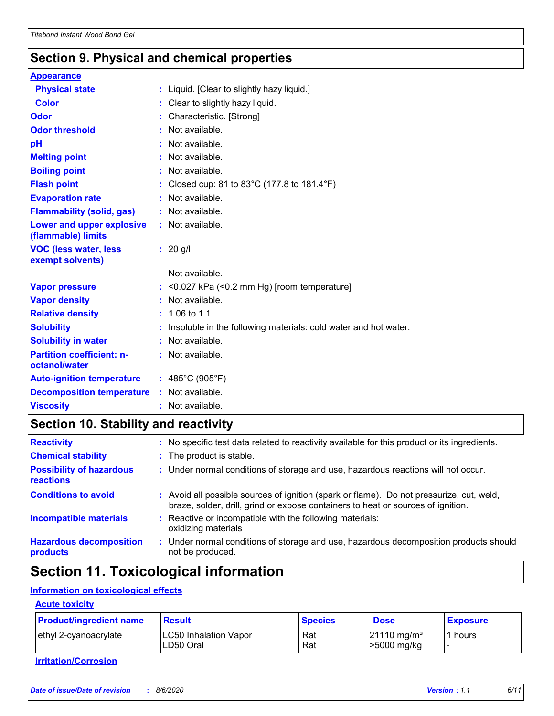# **Section 9. Physical and chemical properties**

| <b>Appearance</b>                                 |                                                                   |
|---------------------------------------------------|-------------------------------------------------------------------|
| <b>Physical state</b>                             | : Liquid. [Clear to slightly hazy liquid.]                        |
| <b>Color</b>                                      | : Clear to slightly hazy liquid.                                  |
| <b>Odor</b>                                       | : Characteristic. [Strong]                                        |
| <b>Odor threshold</b>                             | : Not available.                                                  |
| pH                                                | : Not available.                                                  |
| <b>Melting point</b>                              | : Not available.                                                  |
| <b>Boiling point</b>                              | : Not available.                                                  |
| <b>Flash point</b>                                | : Closed cup: 81 to 83°C (177.8 to 181.4°F)                       |
| <b>Evaporation rate</b>                           | : Not available.                                                  |
| <b>Flammability (solid, gas)</b>                  | : Not available.                                                  |
| Lower and upper explosive<br>(flammable) limits   | : Not available.                                                  |
| <b>VOC (less water, less</b><br>exempt solvents)  | $: 20$ g/l                                                        |
|                                                   | Not available.                                                    |
| <b>Vapor pressure</b>                             | $:$ <0.027 kPa (<0.2 mm Hg) [room temperature]                    |
| <b>Vapor density</b>                              | : Not available.                                                  |
| <b>Relative density</b>                           | $: 1.06$ to 1.1                                                   |
| <b>Solubility</b>                                 | : Insoluble in the following materials: cold water and hot water. |
| <b>Solubility in water</b>                        | : Not available.                                                  |
| <b>Partition coefficient: n-</b><br>octanol/water | : Not available.                                                  |
| <b>Auto-ignition temperature</b>                  | : $485^{\circ}$ C (905 $^{\circ}$ F)                              |
| <b>Decomposition temperature</b>                  | : Not available.                                                  |
| <b>Viscosity</b>                                  | : Not available.                                                  |

# **Section 10. Stability and reactivity**

| <b>Reactivity</b>                                   | ÷. | No specific test data related to reactivity available for this product or its ingredients.                                                                                   |
|-----------------------------------------------------|----|------------------------------------------------------------------------------------------------------------------------------------------------------------------------------|
| <b>Chemical stability</b>                           |    | : The product is stable.                                                                                                                                                     |
| <b>Possibility of hazardous</b><br><b>reactions</b> |    | : Under normal conditions of storage and use, hazardous reactions will not occur.                                                                                            |
| <b>Conditions to avoid</b>                          |    | : Avoid all possible sources of ignition (spark or flame). Do not pressurize, cut, weld,<br>braze, solder, drill, grind or expose containers to heat or sources of ignition. |
| <b>Incompatible materials</b>                       |    | Reactive or incompatible with the following materials:<br>oxidizing materials                                                                                                |
| <b>Hazardous decomposition</b><br>products          |    | Under normal conditions of storage and use, hazardous decomposition products should<br>not be produced.                                                                      |

# **Section 11. Toxicological information**

#### **Information on toxicological effects**

#### **Acute toxicity**

| <b>Product/ingredient name</b> | <b>Result</b>         | <b>Species</b> | <b>Dose</b>                | <b>Exposure</b> |
|--------------------------------|-----------------------|----------------|----------------------------|-----------------|
| ethyl 2-cyanoacrylate          | LC50 Inhalation Vapor | Rat            | $121110$ mg/m <sup>3</sup> | ' hours         |
|                                | LD50 Oral             | Rat            | >5000 mg/kg                |                 |

**Irritation/Corrosion**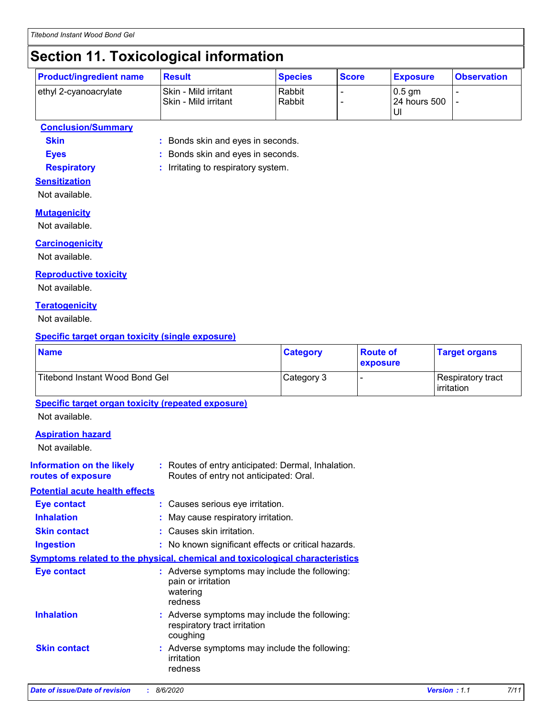# **Section 11. Toxicological information**

|                       | <b>Product/ingredient name</b> | <b>Result</b>                                  | <b>Species</b>   | <b>Score</b> | <b>Exposure</b>                   | <b>Observation</b> |
|-----------------------|--------------------------------|------------------------------------------------|------------------|--------------|-----------------------------------|--------------------|
| ethyl 2-cyanoacrylate |                                | Skin - Mild irritant<br>l Skin - Mild irritant | Rabbit<br>Rabbit |              | $\sqrt{0.5}$ qm<br>l 24 hours 500 |                    |

#### **Conclusion/Summary**

**Skin :** Bonds skin and eyes in seconds.

**Eyes :** Bonds skin and eyes in seconds.

**Respiratory :** Irritating to respiratory system.

#### **Sensitization**

Not available.

#### **Mutagenicity**

Not available.

#### **Carcinogenicity**

Not available.

#### **Reproductive toxicity**

Not available.

#### **Teratogenicity**

Not available.

#### **Specific target organ toxicity (single exposure)**

| <b>Name</b>                                                                 |                                           | <b>Category</b>                                                                              | <b>Route of</b><br>exposure | <b>Target organs</b>            |  |
|-----------------------------------------------------------------------------|-------------------------------------------|----------------------------------------------------------------------------------------------|-----------------------------|---------------------------------|--|
| Titebond Instant Wood Bond Gel                                              |                                           | Category 3                                                                                   |                             | Respiratory tract<br>irritation |  |
| <b>Specific target organ toxicity (repeated exposure)</b><br>Not available. |                                           |                                                                                              |                             |                                 |  |
| <b>Aspiration hazard</b><br>Not available.                                  |                                           |                                                                                              |                             |                                 |  |
| <b>Information on the likely</b><br>routes of exposure                      |                                           | : Routes of entry anticipated: Dermal, Inhalation.<br>Routes of entry not anticipated: Oral. |                             |                                 |  |
| <b>Potential acute health effects</b>                                       |                                           |                                                                                              |                             |                                 |  |
| <b>Eye contact</b>                                                          |                                           | : Causes serious eye irritation.                                                             |                             |                                 |  |
| <b>Inhalation</b>                                                           |                                           | : May cause respiratory irritation.                                                          |                             |                                 |  |
| <b>Skin contact</b>                                                         | : Causes skin irritation.                 |                                                                                              |                             |                                 |  |
| <b>Ingestion</b>                                                            |                                           | : No known significant effects or critical hazards.                                          |                             |                                 |  |
|                                                                             |                                           | <b>Symptoms related to the physical, chemical and toxicological characteristics</b>          |                             |                                 |  |
| <b>Eye contact</b>                                                          | pain or irritation<br>watering<br>redness | : Adverse symptoms may include the following:                                                |                             |                                 |  |
| <b>Inhalation</b>                                                           | respiratory tract irritation<br>coughing  | : Adverse symptoms may include the following:                                                |                             |                                 |  |

**Skin contact** Adverse symptoms may include the following: **:** irritation redness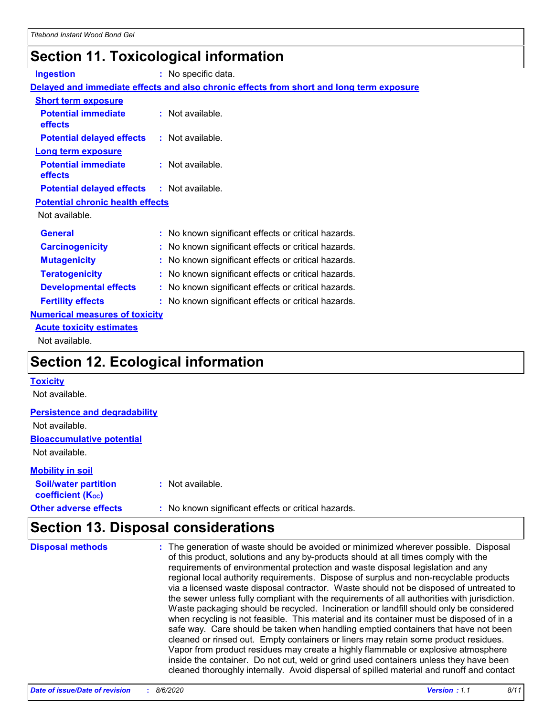# **Section 11. Toxicological information**

| <b>Ingestion</b>                          | : No specific data.                                                                      |
|-------------------------------------------|------------------------------------------------------------------------------------------|
|                                           | Delayed and immediate effects and also chronic effects from short and long term exposure |
| <b>Short term exposure</b>                |                                                                                          |
| <b>Potential immediate</b><br>effects     | : Not available.                                                                         |
| <b>Potential delayed effects</b>          | : Not available.                                                                         |
| <b>Long term exposure</b>                 |                                                                                          |
| <b>Potential immediate</b><br>effects     | : Not available.                                                                         |
| <b>Potential delayed effects</b>          | $:$ Not available.                                                                       |
| <b>Potential chronic health effects</b>   |                                                                                          |
| Not available.                            |                                                                                          |
| <b>General</b>                            | : No known significant effects or critical hazards.                                      |
| <b>Carcinogenicity</b>                    | No known significant effects or critical hazards.                                        |
| <b>Mutagenicity</b>                       | No known significant effects or critical hazards.                                        |
| <b>Teratogenicity</b>                     | No known significant effects or critical hazards.                                        |
| <b>Developmental effects</b>              | : No known significant effects or critical hazards.                                      |
| <b>Fertility effects</b>                  | : No known significant effects or critical hazards.                                      |
| <b>Numerical measures of toxicity</b>     |                                                                                          |
| <b>Acute toxicity estimates</b>           |                                                                                          |
| Not available.                            |                                                                                          |
| <b>Section 12. Ecological information</b> |                                                                                          |

#### **Toxicity**

Not available.

#### **Persistence and degradability**

Not available.

**Bioaccumulative potential**

Not available.

#### **Mobility in soil**

| <b>Soil/water partition</b>    | : Not available.                                    |
|--------------------------------|-----------------------------------------------------|
| coefficient (K <sub>oc</sub> ) |                                                     |
| <b>Other adverse effects</b>   | : No known significant effects or critical hazards. |

# **Section 13. Disposal considerations**

| <b>Disposal methods</b> | : The generation of waste should be avoided or minimized wherever possible. Disposal<br>of this product, solutions and any by-products should at all times comply with the<br>requirements of environmental protection and waste disposal legislation and any<br>regional local authority requirements. Dispose of surplus and non-recyclable products<br>via a licensed waste disposal contractor. Waste should not be disposed of untreated to<br>the sewer unless fully compliant with the requirements of all authorities with jurisdiction.<br>Waste packaging should be recycled. Incineration or landfill should only be considered<br>when recycling is not feasible. This material and its container must be disposed of in a<br>safe way. Care should be taken when handling emptied containers that have not been<br>cleaned or rinsed out. Empty containers or liners may retain some product residues.<br>Vapor from product residues may create a highly flammable or explosive atmosphere |
|-------------------------|----------------------------------------------------------------------------------------------------------------------------------------------------------------------------------------------------------------------------------------------------------------------------------------------------------------------------------------------------------------------------------------------------------------------------------------------------------------------------------------------------------------------------------------------------------------------------------------------------------------------------------------------------------------------------------------------------------------------------------------------------------------------------------------------------------------------------------------------------------------------------------------------------------------------------------------------------------------------------------------------------------|
|                         | inside the container. Do not cut, weld or grind used containers unless they have been<br>cleaned thoroughly internally. Avoid dispersal of spilled material and runoff and contact                                                                                                                                                                                                                                                                                                                                                                                                                                                                                                                                                                                                                                                                                                                                                                                                                       |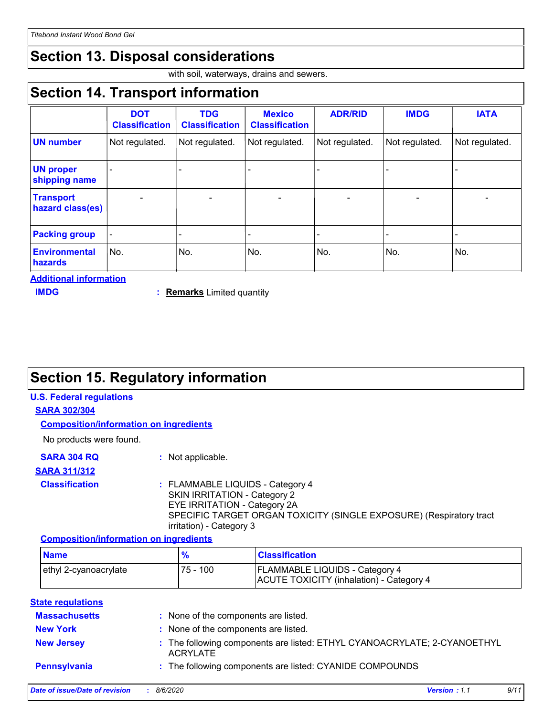# **Section 13. Disposal considerations**

with soil, waterways, drains and sewers.

# **Section 14. Transport information**

|                                      | <b>DOT</b>            | <b>TDG</b>            | <b>Mexico</b>         | <b>ADR/RID</b> | <b>IMDG</b>    | <b>IATA</b>    |
|--------------------------------------|-----------------------|-----------------------|-----------------------|----------------|----------------|----------------|
|                                      | <b>Classification</b> | <b>Classification</b> | <b>Classification</b> |                |                |                |
| <b>UN number</b>                     | Not regulated.        | Not regulated.        | Not regulated.        | Not regulated. | Not regulated. | Not regulated. |
| <b>UN proper</b><br>shipping name    |                       |                       |                       |                |                |                |
| <b>Transport</b><br>hazard class(es) |                       |                       |                       |                |                |                |
| <b>Packing group</b>                 |                       |                       |                       |                |                |                |
| <b>Environmental</b><br>hazards      | No.                   | No.                   | No.                   | No.            | No.            | No.            |

**Additional information**

**Remarks** Limited quantity **IMDG :** 

# **Section 15. Regulatory information**

#### **U.S. Federal regulations**

#### **SARA 302/304**

**Composition/information on ingredients**

No products were found.

| <b>SARA 304 RQ</b> | : Not applicable. |
|--------------------|-------------------|
|--------------------|-------------------|

#### **SARA 311/312**

#### **Classification :** FLAMMABLE LIQUIDS - Category 4 SKIN IRRITATION - Category 2 EYE IRRITATION - Category 2A SPECIFIC TARGET ORGAN TOXICITY (SINGLE EXPOSURE) (Respiratory tract irritation) - Category 3

#### **Composition/information on ingredients**

| <b>Name</b>           | $\frac{1}{2}$ | <b>Classification</b>                                                             |
|-----------------------|---------------|-----------------------------------------------------------------------------------|
| ethyl 2-cyanoacrylate | 75 - 100      | <b>FLAMMABLE LIQUIDS - Category 4</b><br>ACUTE TOXICITY (inhalation) - Category 4 |

#### **State regulations**

| <b>Massachusetts</b> | : None of the components are listed.                                                        |
|----------------------|---------------------------------------------------------------------------------------------|
| <b>New York</b>      | : None of the components are listed.                                                        |
| <b>New Jersey</b>    | : The following components are listed: ETHYL CYANOACRYLATE; 2-CYANOETHYL<br><b>ACRYLATE</b> |
| Pennsylvania         | : The following components are listed: CYANIDE COMPOUNDS                                    |
|                      | 7.111<br>.<br><b>A</b> <i>IA IAAA</i>                                                       |

| Date of issue/Date of revision | 8/6/2020 | <b>Version: 1.1</b> |  |
|--------------------------------|----------|---------------------|--|
|--------------------------------|----------|---------------------|--|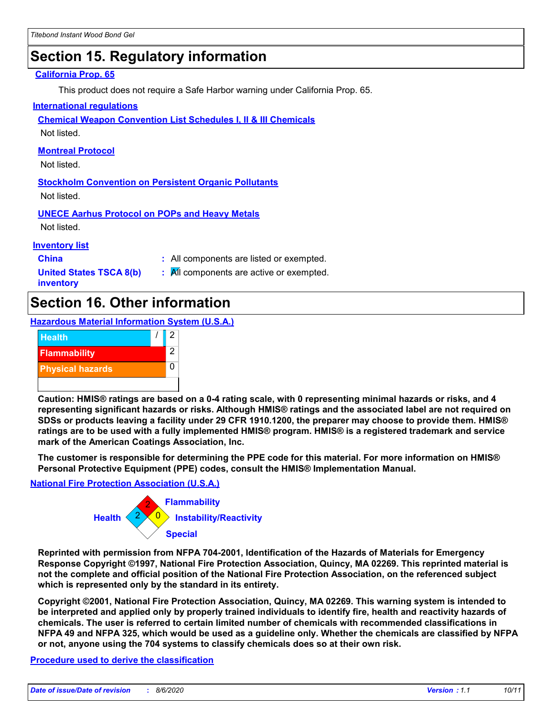# **Section 15. Regulatory information**

#### **California Prop. 65**

This product does not require a Safe Harbor warning under California Prop. 65.

#### **International regulations**

**Chemical Weapon Convention List Schedules I, II & III Chemicals**

Not listed.

#### **Montreal Protocol**

Not listed.

**Stockholm Convention on Persistent Organic Pollutants** Not listed.

**UNECE Aarhus Protocol on POPs and Heavy Metals**

Not listed.

#### **Inventory list**

**China :** All components are listed or exempted.

**United States TSCA 8(b) inventory**

**:** All components are active or exempted.

# **Section 16. Other information**

**Hazardous Material Information System (U.S.A.)**



**Caution: HMIS® ratings are based on a 0-4 rating scale, with 0 representing minimal hazards or risks, and 4 representing significant hazards or risks. Although HMIS® ratings and the associated label are not required on SDSs or products leaving a facility under 29 CFR 1910.1200, the preparer may choose to provide them. HMIS® ratings are to be used with a fully implemented HMIS® program. HMIS® is a registered trademark and service mark of the American Coatings Association, Inc.**

**The customer is responsible for determining the PPE code for this material. For more information on HMIS® Personal Protective Equipment (PPE) codes, consult the HMIS® Implementation Manual.**

#### **National Fire Protection Association (U.S.A.)**



**Reprinted with permission from NFPA 704-2001, Identification of the Hazards of Materials for Emergency Response Copyright ©1997, National Fire Protection Association, Quincy, MA 02269. This reprinted material is not the complete and official position of the National Fire Protection Association, on the referenced subject which is represented only by the standard in its entirety.**

**Copyright ©2001, National Fire Protection Association, Quincy, MA 02269. This warning system is intended to be interpreted and applied only by properly trained individuals to identify fire, health and reactivity hazards of chemicals. The user is referred to certain limited number of chemicals with recommended classifications in NFPA 49 and NFPA 325, which would be used as a guideline only. Whether the chemicals are classified by NFPA or not, anyone using the 704 systems to classify chemicals does so at their own risk.**

#### **Procedure used to derive the classification**